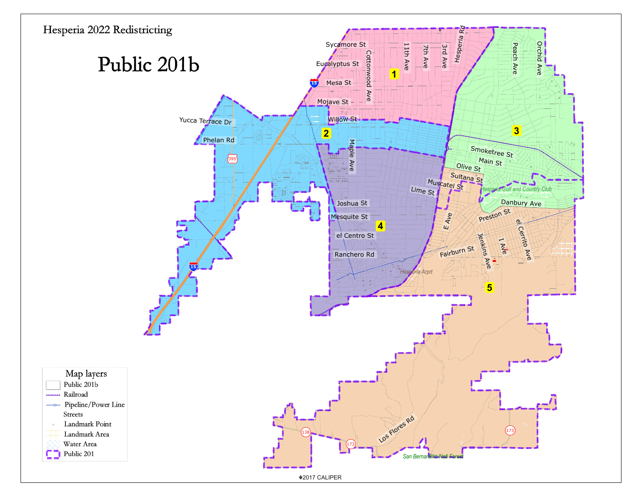